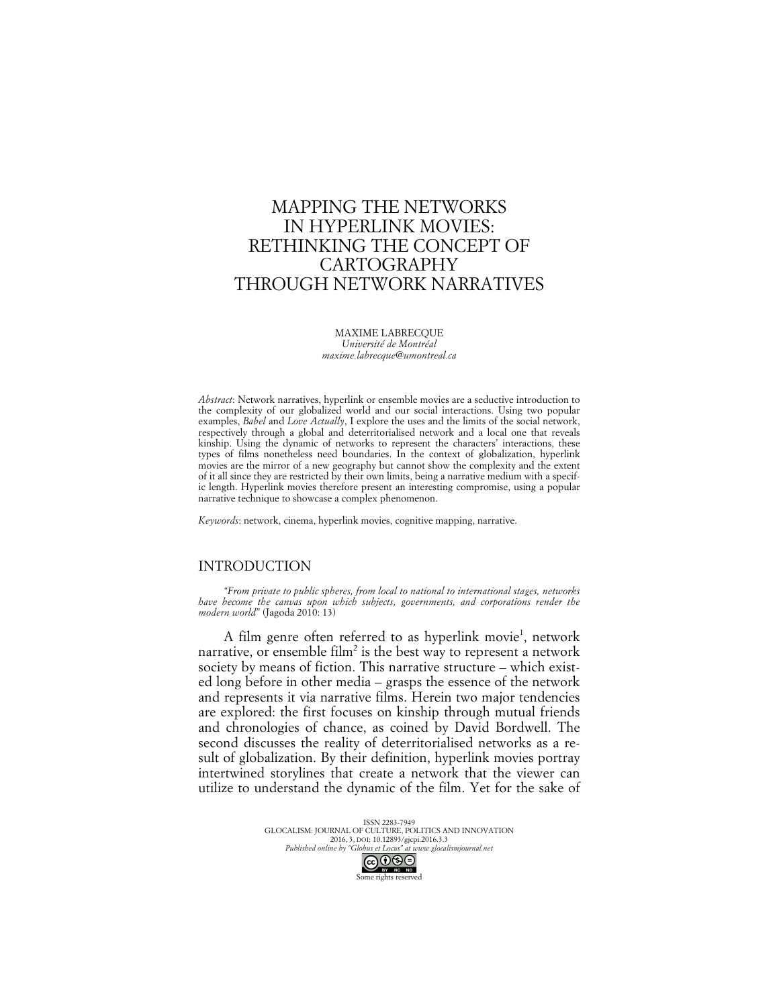# MAPPING THE NETWORKS IN HYPERLINK MOVIES: RETHINKING THE CONCEPT OF CARTOGRAPHY THROUGH NETWORK NARRATIVES

MAXIME LABRECQUE *Université de Montréal maxime.labrecque@umontreal.ca*

*Abstract*: Network narratives, hyperlink or ensemble movies are a seductive introduction to the complexity of our globalized world and our social interactions. Using two popular examples, *Babel* and *Love Actually*, I explore the uses and the limits of the social network, respectively through a global and deterritorialised network and a local one that reveals kinship. Using the dynamic of networks to represent the characters' interactions, these types of films nonetheless need boundaries. In the context of globalization, hyperlink movies are the mirror of a new geography but cannot show the complexity and the extent of it all since they are restricted by their own limits, being a narrative medium with a specific length. Hyperlink movies therefore present an interesting compromise, using a popular narrative technique to showcase a complex phenomenon.

*Keywords*: network, cinema, hyperlink movies, cognitive mapping, narrative.

## INTRODUCTION

*"From private to public spheres, from local to national to international stages, networks have become the canvas upon which subjects, governments, and corporations render the modern world"* (Jagoda 2010: 13)

A film genre often referred to as hyperlink movie<sup>1</sup>, network narrative, or ensemble film<sup>2</sup> is the best way to represent a network society by means of fiction. This narrative structure – which existed long before in other media – grasps the essence of the network and represents it via narrative films. Herein two major tendencies are explored: the first focuses on kinship through mutual friends and chronologies of chance, as coined by David Bordwell. The second discusses the reality of deterritorialised networks as a result of globalization. By their definition, hyperlink movies portray intertwined storylines that create a network that the viewer can utilize to understand the dynamic of the film. Yet for the sake of

> ISSN 2283-7949 GLOCALISM: JOURNAL OF CULTURE, POLITICS AND INNOVATION 2016, 3, DOI: 10.12893/gjcpi.2016.3.3 *Published online by "Globus et Locus" at www.glocalismjournal.net*<br>  $\bigcirc \bigcirc \bigcirc \bigcirc \bigcirc \bigcirc$

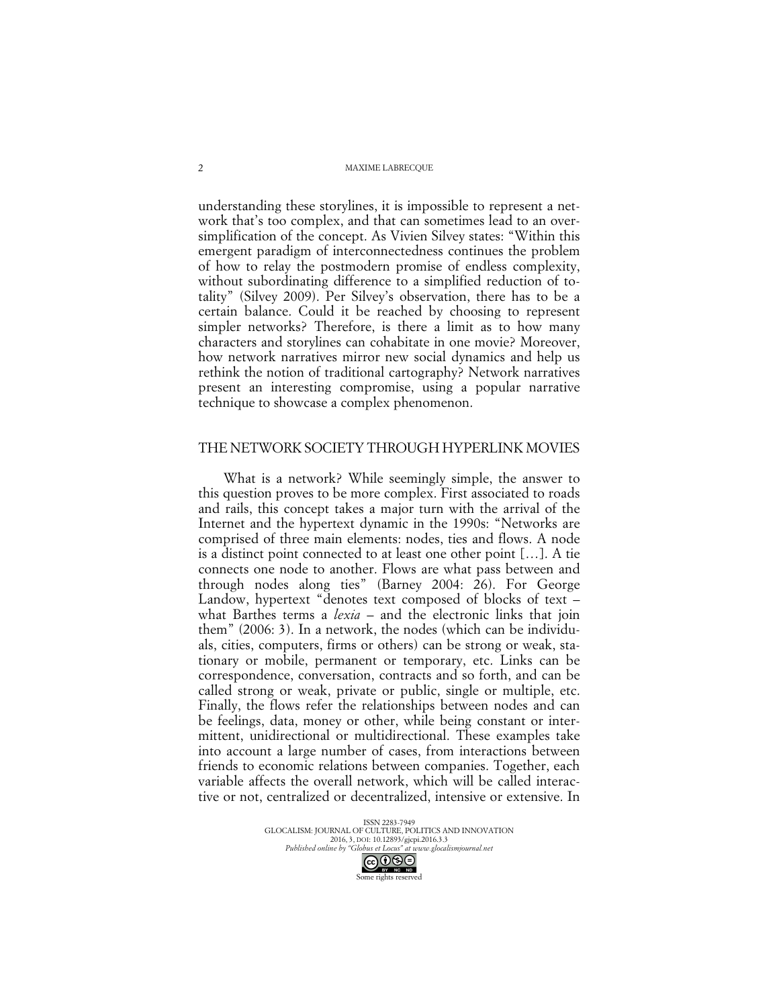understanding these storylines, it is impossible to represent a network that's too complex, and that can sometimes lead to an oversimplification of the concept. As Vivien Silvey states: "Within this emergent paradigm of interconnectedness continues the problem of how to relay the postmodern promise of endless complexity, without subordinating difference to a simplified reduction of totality" (Silvey 2009). Per Silvey's observation, there has to be a certain balance. Could it be reached by choosing to represent simpler networks? Therefore, is there a limit as to how many characters and storylines can cohabitate in one movie? Moreover, how network narratives mirror new social dynamics and help us rethink the notion of traditional cartography? Network narratives present an interesting compromise, using a popular narrative technique to showcase a complex phenomenon.

# THE NETWORK SOCIETY THROUGH HYPERLINK MOVIES

What is a network? While seemingly simple, the answer to this question proves to be more complex. First associated to roads and rails, this concept takes a major turn with the arrival of the Internet and the hypertext dynamic in the 1990s: "Networks are comprised of three main elements: nodes, ties and flows. A node is a distinct point connected to at least one other point […]. A tie connects one node to another. Flows are what pass between and through nodes along ties" (Barney 2004: 26). For George Landow, hypertext "denotes text composed of blocks of text – what Barthes terms a *lexia* – and the electronic links that join them" (2006: 3). In a network, the nodes (which can be individuals, cities, computers, firms or others) can be strong or weak, stationary or mobile, permanent or temporary, etc. Links can be correspondence, conversation, contracts and so forth, and can be called strong or weak, private or public, single or multiple, etc. Finally, the flows refer the relationships between nodes and can be feelings, data, money or other, while being constant or intermittent, unidirectional or multidirectional. These examples take into account a large number of cases, from interactions between friends to economic relations between companies. Together, each variable affects the overall network, which will be called interactive or not, centralized or decentralized, intensive or extensive. In

> ISSN 2283-7949 GLOCALISM: JOURNAL OF CULTURE, POLITICS AND INNOVATION 2016, 3, DOI: 10.12893/gjcpi.2016.3.3 *Published online by "Globus et Locus" at www.glocalismjournal.net* Some rights reserved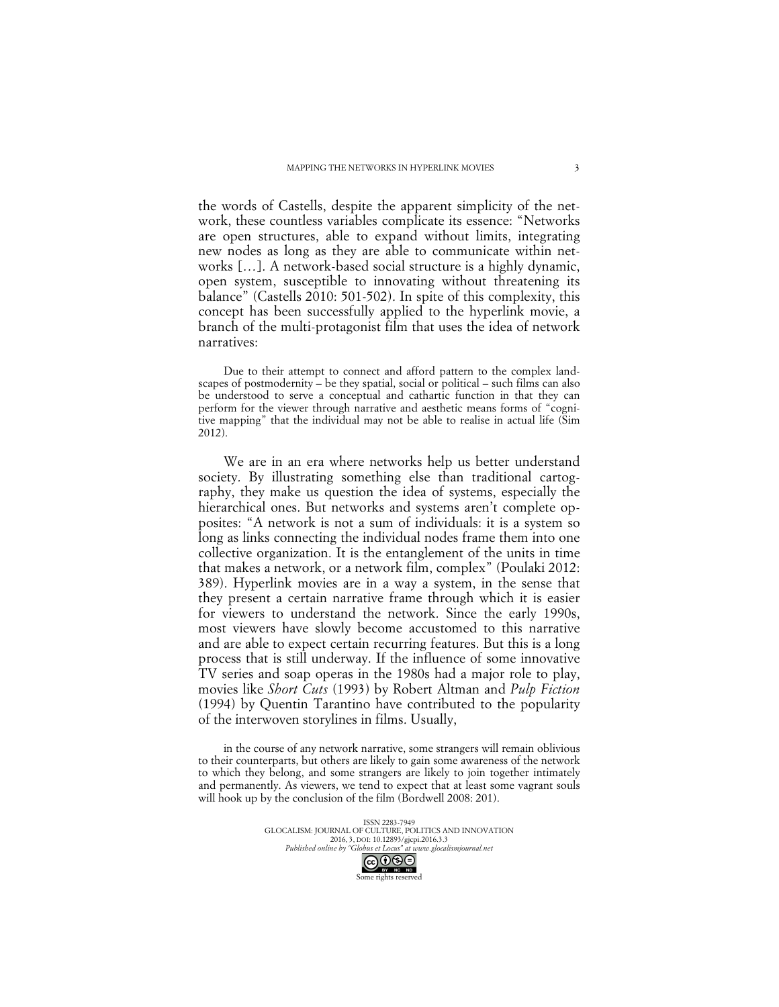the words of Castells, despite the apparent simplicity of the network, these countless variables complicate its essence: "Networks are open structures, able to expand without limits, integrating new nodes as long as they are able to communicate within networks […]. A network-based social structure is a highly dynamic, open system, susceptible to innovating without threatening its balance" (Castells 2010: 501-502). In spite of this complexity, this concept has been successfully applied to the hyperlink movie, a branch of the multi-protagonist film that uses the idea of network narratives:

Due to their attempt to connect and afford pattern to the complex landscapes of postmodernity – be they spatial, social or political – such films can also be understood to serve a conceptual and cathartic function in that they can perform for the viewer through narrative and aesthetic means forms of "cognitive mapping" that the individual may not be able to realise in actual life (Sim 2012).

We are in an era where networks help us better understand society. By illustrating something else than traditional cartography, they make us question the idea of systems, especially the hierarchical ones. But networks and systems aren't complete opposites: "A network is not a sum of individuals: it is a system so long as links connecting the individual nodes frame them into one collective organization. It is the entanglement of the units in time that makes a network, or a network film, complex" (Poulaki 2012: 389). Hyperlink movies are in a way a system, in the sense that they present a certain narrative frame through which it is easier for viewers to understand the network. Since the early 1990s, most viewers have slowly become accustomed to this narrative and are able to expect certain recurring features. But this is a long process that is still underway. If the influence of some innovative TV series and soap operas in the 1980s had a major role to play, movies like *Short Cuts* (1993) by Robert Altman and *Pulp Fiction* (1994) by Quentin Tarantino have contributed to the popularity of the interwoven storylines in films. Usually,

in the course of any network narrative, some strangers will remain oblivious to their counterparts, but others are likely to gain some awareness of the network to which they belong, and some strangers are likely to join together intimately and permanently. As viewers, we tend to expect that at least some vagrant souls will hook up by the conclusion of the film (Bordwell 2008: 201).

> ISSN 2283-7949 GLOCALISM: JOURNAL OF CULTURE, POLITICS AND INNOVATION 2016, 3, DOI: 10.12893/gjcpi.2016.3.3 *Published online by "Globus et Locus" at www.glocalismjournal.net*<br>  $\bigodot \bigodot \bigodot \bigodot \bigodot$

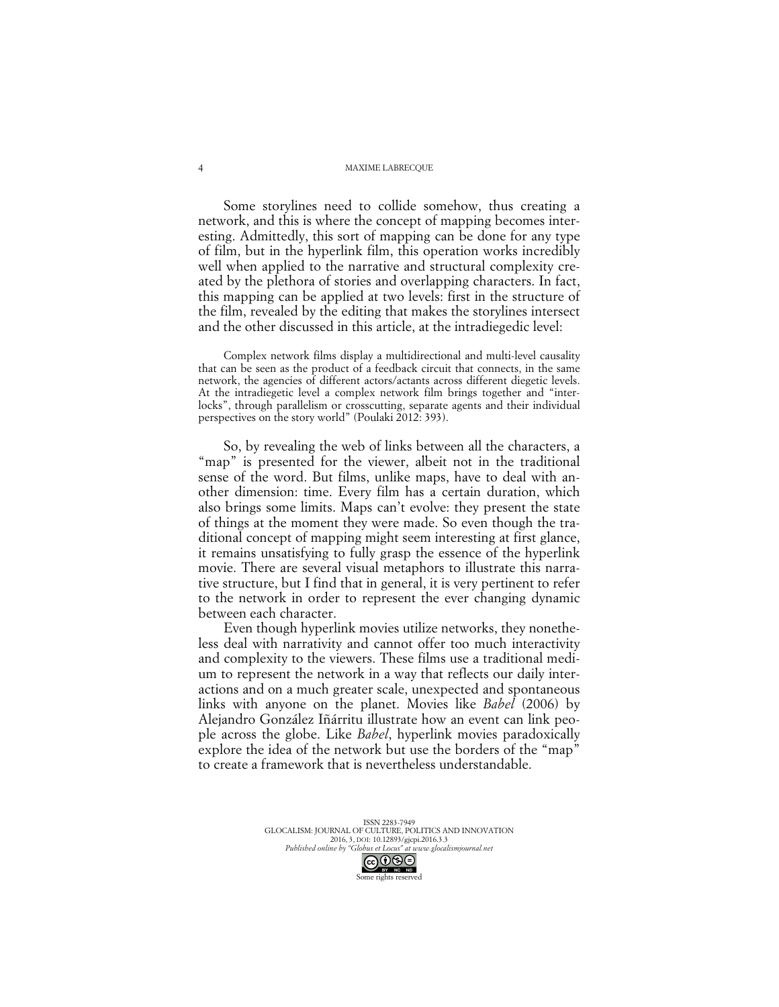#### MAXIME LABRECQUE

Some storylines need to collide somehow, thus creating a network, and this is where the concept of mapping becomes interesting. Admittedly, this sort of mapping can be done for any type of film, but in the hyperlink film, this operation works incredibly well when applied to the narrative and structural complexity created by the plethora of stories and overlapping characters. In fact, this mapping can be applied at two levels: first in the structure of the film, revealed by the editing that makes the storylines intersect and the other discussed in this article, at the intradiegedic level:

Complex network films display a multidirectional and multi-level causality that can be seen as the product of a feedback circuit that connects, in the same network, the agencies of different actors/actants across different diegetic levels. At the intradiegetic level a complex network film brings together and "interlocks", through parallelism or crosscutting, separate agents and their individual perspectives on the story world" (Poulaki 2012: 393).

So, by revealing the web of links between all the characters, a "map" is presented for the viewer, albeit not in the traditional sense of the word. But films, unlike maps, have to deal with another dimension: time. Every film has a certain duration, which also brings some limits. Maps can't evolve: they present the state of things at the moment they were made. So even though the traditional concept of mapping might seem interesting at first glance, it remains unsatisfying to fully grasp the essence of the hyperlink movie. There are several visual metaphors to illustrate this narrative structure, but I find that in general, it is very pertinent to refer to the network in order to represent the ever changing dynamic between each character.

Even though hyperlink movies utilize networks, they nonetheless deal with narrativity and cannot offer too much interactivity and complexity to the viewers. These films use a traditional medium to represent the network in a way that reflects our daily interactions and on a much greater scale, unexpected and spontaneous links with anyone on the planet. Movies like *Babel* (2006) by Alejandro González Iñárritu illustrate how an event can link people across the globe. Like *Babel*, hyperlink movies paradoxically explore the idea of the network but use the borders of the "map" to create a framework that is nevertheless understandable.

> ISSN 2283-7949 GLOCALISM: JOURNAL OF CULTURE, POLITICS AND INNOVATION 2016, 3, DOI: 10.12893/gjcpi.2016.3.3 *Published online by "Globus et Locus" at www.glocalismjournal.net*<br>  $\bigcirc \bigcirc \bigcirc \bigcirc \bigcirc \bigcirc$

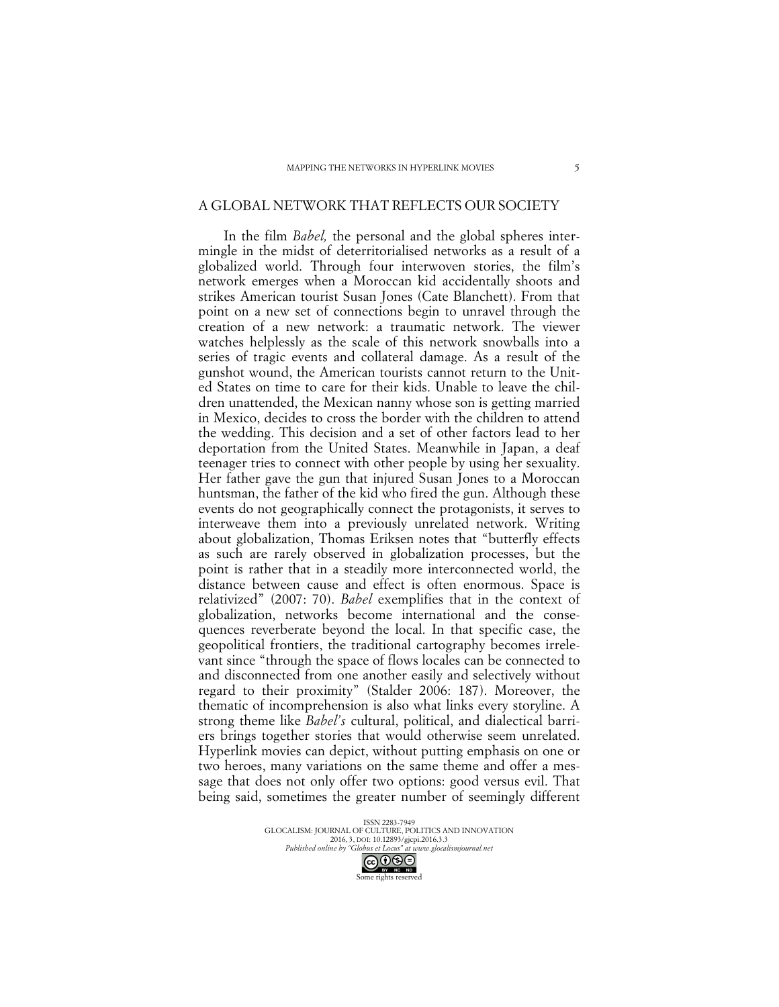### A GLOBAL NETWORK THAT REFLECTS OUR SOCIETY

In the film *Babel,* the personal and the global spheres intermingle in the midst of deterritorialised networks as a result of a globalized world. Through four interwoven stories, the film's network emerges when a Moroccan kid accidentally shoots and strikes American tourist Susan Jones (Cate Blanchett). From that point on a new set of connections begin to unravel through the creation of a new network: a traumatic network. The viewer watches helplessly as the scale of this network snowballs into a series of tragic events and collateral damage. As a result of the gunshot wound, the American tourists cannot return to the United States on time to care for their kids. Unable to leave the children unattended, the Mexican nanny whose son is getting married in Mexico, decides to cross the border with the children to attend the wedding. This decision and a set of other factors lead to her deportation from the United States. Meanwhile in Japan, a deaf teenager tries to connect with other people by using her sexuality. Her father gave the gun that injured Susan Jones to a Moroccan huntsman, the father of the kid who fired the gun. Although these events do not geographically connect the protagonists, it serves to interweave them into a previously unrelated network. Writing about globalization, Thomas Eriksen notes that "butterfly effects as such are rarely observed in globalization processes, but the point is rather that in a steadily more interconnected world, the distance between cause and effect is often enormous. Space is relativized" (2007: 70). *Babel* exemplifies that in the context of globalization, networks become international and the consequences reverberate beyond the local. In that specific case, the geopolitical frontiers, the traditional cartography becomes irrelevant since "through the space of flows locales can be connected to and disconnected from one another easily and selectively without regard to their proximity" (Stalder 2006: 187). Moreover, the thematic of incomprehension is also what links every storyline. A strong theme like *Babel's* cultural, political, and dialectical barriers brings together stories that would otherwise seem unrelated. Hyperlink movies can depict, without putting emphasis on one or two heroes, many variations on the same theme and offer a message that does not only offer two options: good versus evil. That being said, sometimes the greater number of seemingly different

> ISSN 2283-7949 GLOCALISM: JOURNAL OF CULTURE, POLITICS AND INNOVATION 2016, 3, DOI: 10.12893/gjcpi.2016.3.3 *Published online by "Globus et Locus" at www.glocalismjournal.net* Some rights reserved

5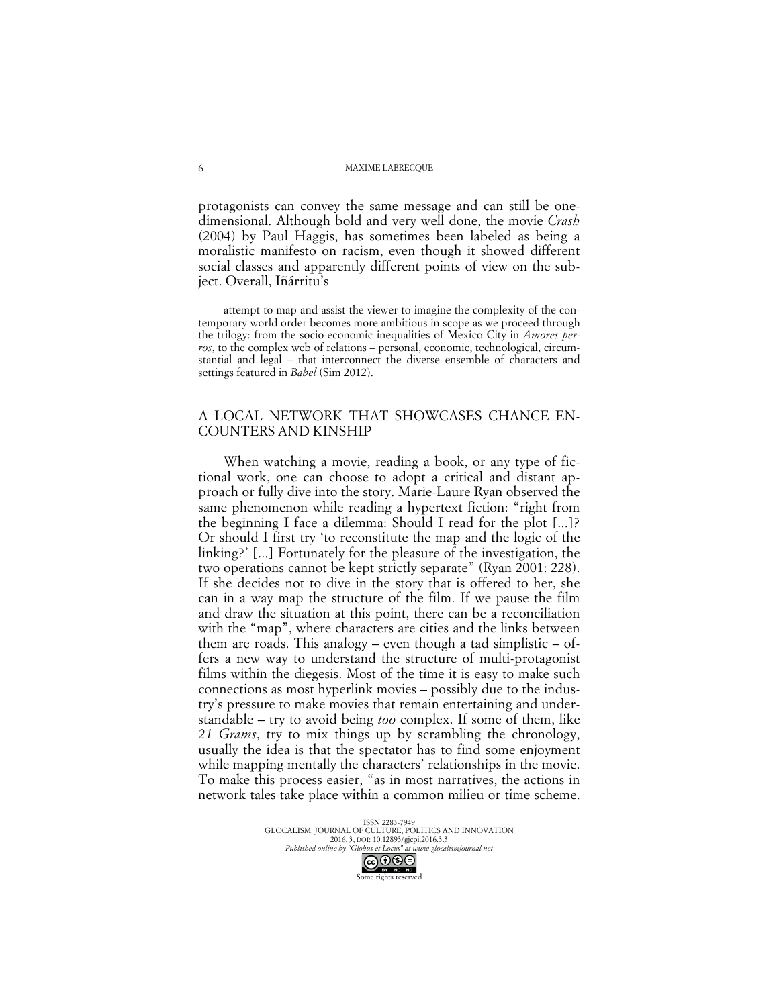protagonists can convey the same message and can still be onedimensional. Although bold and very well done, the movie *Crash* (2004) by Paul Haggis, has sometimes been labeled as being a moralistic manifesto on racism, even though it showed different social classes and apparently different points of view on the subject. Overall, Iñárritu's

attempt to map and assist the viewer to imagine the complexity of the contemporary world order becomes more ambitious in scope as we proceed through the trilogy: from the socio-economic inequalities of Mexico City in *Amores perros*, to the complex web of relations – personal, economic, technological, circumstantial and legal – that interconnect the diverse ensemble of characters and settings featured in *Babel* (Sim 2012).

## A LOCAL NETWORK THAT SHOWCASES CHANCE EN-COUNTERS AND KINSHIP

When watching a movie, reading a book, or any type of fictional work, one can choose to adopt a critical and distant approach or fully dive into the story. Marie-Laure Ryan observed the same phenomenon while reading a hypertext fiction: "right from the beginning I face a dilemma: Should I read for the plot [...]? Or should I first try 'to reconstitute the map and the logic of the linking?' [...] Fortunately for the pleasure of the investigation, the two operations cannot be kept strictly separate" (Ryan 2001: 228). If she decides not to dive in the story that is offered to her, she can in a way map the structure of the film. If we pause the film and draw the situation at this point, there can be a reconciliation with the "map", where characters are cities and the links between them are roads. This analogy – even though a tad simplistic – offers a new way to understand the structure of multi-protagonist films within the diegesis. Most of the time it is easy to make such connections as most hyperlink movies – possibly due to the industry's pressure to make movies that remain entertaining and understandable – try to avoid being *too* complex. If some of them, like *21 Grams*, try to mix things up by scrambling the chronology, usually the idea is that the spectator has to find some enjoyment while mapping mentally the characters' relationships in the movie. To make this process easier, "as in most narratives, the actions in network tales take place within a common milieu or time scheme.

> ISSN 2283-7949 GLOCALISM: JOURNAL OF CULTURE, POLITICS AND INNOVATION 2016, 3, DOI: 10.12893/gjcpi.2016.3.3 *Published online by "Globus et Locus" at www.glocalismjournal.net*<br>  $\bigodot \bigodot \bigodot \bigodot \bigodot$

Some rights reserved

6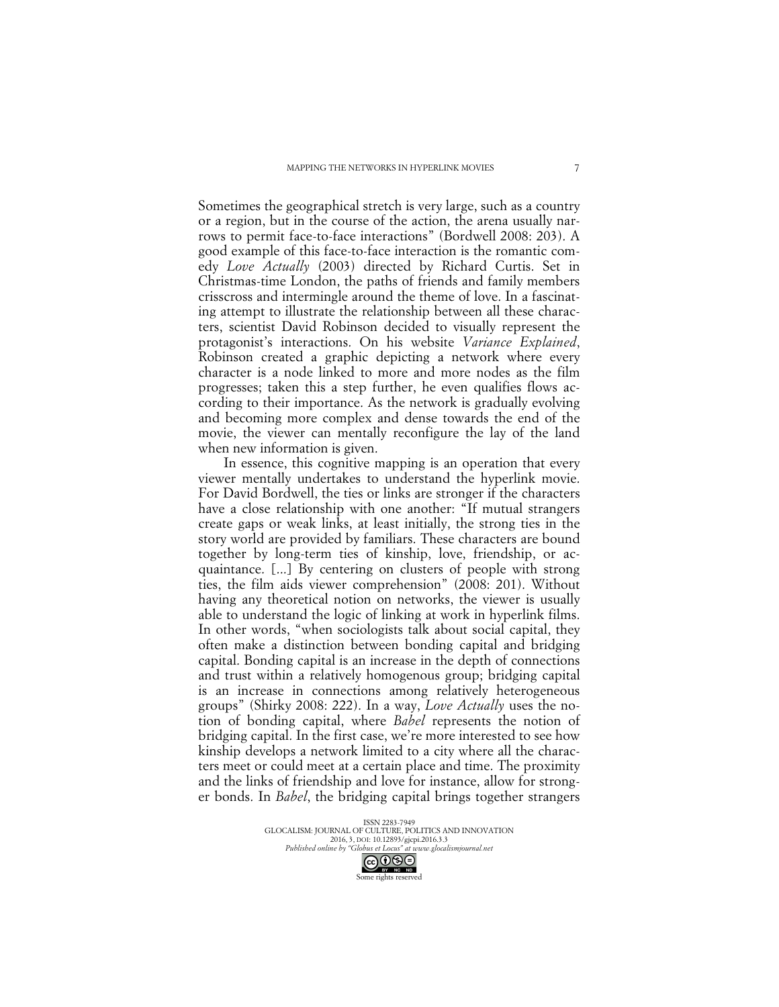Sometimes the geographical stretch is very large, such as a country or a region, but in the course of the action, the arena usually narrows to permit face-to-face interactions" (Bordwell 2008: 203). A good example of this face-to-face interaction is the romantic comedy *Love Actually* (2003) directed by Richard Curtis. Set in Christmas-time London, the paths of friends and family members crisscross and intermingle around the theme of love. In a fascinating attempt to illustrate the relationship between all these characters, scientist David Robinson decided to visually represent the protagonist's interactions. On his website *Variance Explained*, Robinson created a graphic depicting a network where every character is a node linked to more and more nodes as the film progresses; taken this a step further, he even qualifies flows according to their importance. As the network is gradually evolving and becoming more complex and dense towards the end of the movie, the viewer can mentally reconfigure the lay of the land when new information is given.

In essence, this cognitive mapping is an operation that every viewer mentally undertakes to understand the hyperlink movie. For David Bordwell, the ties or links are stronger if the characters have a close relationship with one another: "If mutual strangers create gaps or weak links, at least initially, the strong ties in the story world are provided by familiars. These characters are bound together by long-term ties of kinship, love, friendship, or acquaintance. [...] By centering on clusters of people with strong ties, the film aids viewer comprehension" (2008: 201). Without having any theoretical notion on networks, the viewer is usually able to understand the logic of linking at work in hyperlink films. In other words, "when sociologists talk about social capital, they often make a distinction between bonding capital and bridging capital. Bonding capital is an increase in the depth of connections and trust within a relatively homogenous group; bridging capital is an increase in connections among relatively heterogeneous groups" (Shirky 2008: 222). In a way, *Love Actually* uses the notion of bonding capital, where *Babel* represents the notion of bridging capital. In the first case, we're more interested to see how kinship develops a network limited to a city where all the characters meet or could meet at a certain place and time. The proximity and the links of friendship and love for instance, allow for stronger bonds. In *Babel*, the bridging capital brings together strangers

> ISSN 2283-7949 GLOCALISM: JOURNAL OF CULTURE, POLITICS AND INNOVATION 2016, 3, DOI: 10.12893/gjcpi.2016.3.3 *Published online by "Globus et Locus" at www.glocalismjournal.net*<br>  $\bigodot \bigodot \bigodot \bigodot \bigodot \bigodot$

Some rights reserved

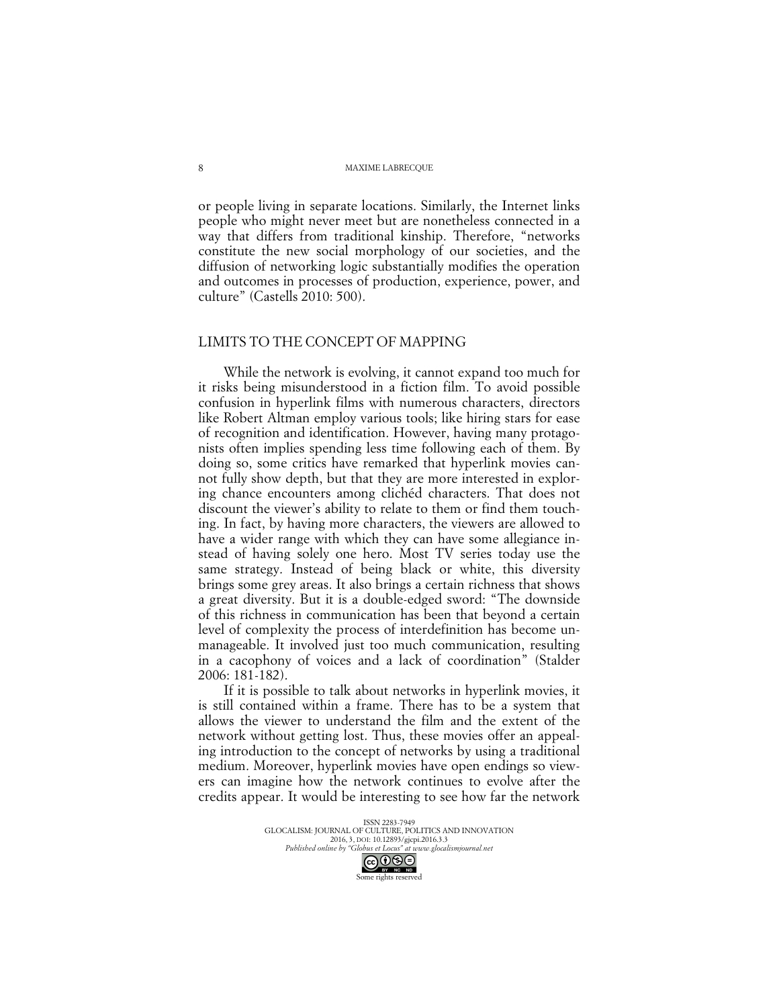or people living in separate locations. Similarly, the Internet links people who might never meet but are nonetheless connected in a way that differs from traditional kinship. Therefore, "networks constitute the new social morphology of our societies, and the diffusion of networking logic substantially modifies the operation and outcomes in processes of production, experience, power, and culture" (Castells 2010: 500).

# LIMITS TO THE CONCEPT OF MAPPING

While the network is evolving, it cannot expand too much for it risks being misunderstood in a fiction film. To avoid possible confusion in hyperlink films with numerous characters, directors like Robert Altman employ various tools; like hiring stars for ease of recognition and identification. However, having many protagonists often implies spending less time following each of them. By doing so, some critics have remarked that hyperlink movies cannot fully show depth, but that they are more interested in exploring chance encounters among clichéd characters. That does not discount the viewer's ability to relate to them or find them touching. In fact, by having more characters, the viewers are allowed to have a wider range with which they can have some allegiance instead of having solely one hero. Most TV series today use the same strategy. Instead of being black or white, this diversity brings some grey areas. It also brings a certain richness that shows a great diversity. But it is a double-edged sword: "The downside of this richness in communication has been that beyond a certain level of complexity the process of interdefinition has become unmanageable. It involved just too much communication, resulting in a cacophony of voices and a lack of coordination" (Stalder 2006: 181-182).

If it is possible to talk about networks in hyperlink movies, it is still contained within a frame. There has to be a system that allows the viewer to understand the film and the extent of the network without getting lost. Thus, these movies offer an appealing introduction to the concept of networks by using a traditional medium. Moreover, hyperlink movies have open endings so viewers can imagine how the network continues to evolve after the credits appear. It would be interesting to see how far the network

> ISSN 2283-7949 GLOCALISM: JOURNAL OF CULTURE, POLITICS AND INNOVATION 2016, 3, DOI: 10.12893/gjcpi.2016.3.3 *Published online by "Globus et Locus" at www.glocalismjournal.net*<br>  $\bigcirc \bigcirc \bigcirc \bigcirc \bigcirc \bigcirc$ Some rights reserved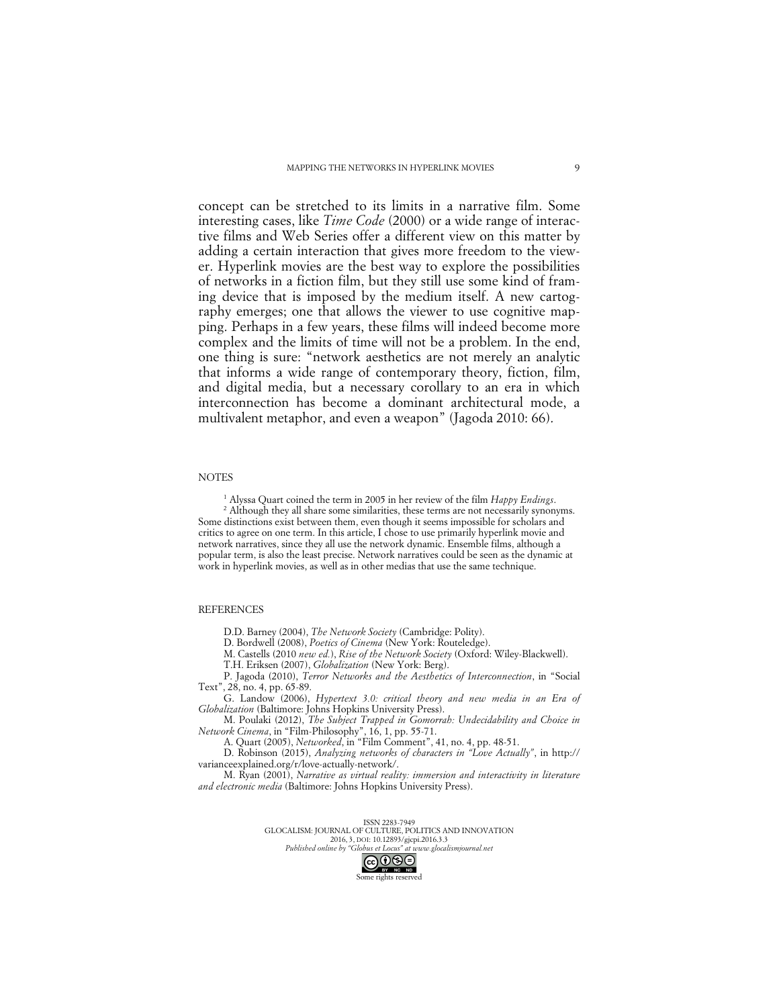concept can be stretched to its limits in a narrative film. Some interesting cases, like *Time Code* (2000) or a wide range of interactive films and Web Series offer a different view on this matter by adding a certain interaction that gives more freedom to the viewer. Hyperlink movies are the best way to explore the possibilities of networks in a fiction film, but they still use some kind of framing device that is imposed by the medium itself. A new cartography emerges; one that allows the viewer to use cognitive mapping. Perhaps in a few years, these films will indeed become more complex and the limits of time will not be a problem. In the end, one thing is sure: "network aesthetics are not merely an analytic that informs a wide range of contemporary theory, fiction, film, and digital media, but a necessary corollary to an era in which interconnection has become a dominant architectural mode, a multivalent metaphor, and even a weapon" (Jagoda 2010: 66).

#### **NOTES**

<sup>1</sup> Alyssa Quart coined the term in 2005 in her review of the film *Happy Endings*. <sup>2</sup> Although they all share some similarities, these terms are not necessarily synonyms. Some distinctions exist between them, even though it seems impossible for scholars and critics to agree on one term. In this article, I chose to use primarily hyperlink movie and network narratives, since they all use the network dynamic. Ensemble films, although a popular term, is also the least precise. Network narratives could be seen as the dynamic at work in hyperlink movies, as well as in other medias that use the same technique.

#### REFERENCES

D.D. Barney (2004), *The Network Society* (Cambridge: Polity).

D. Bordwell (2008), *Poetics of Cinema* (New York: Routeledge).

M. Castells (2010 *new ed.*), *Rise of the Network Society* (Oxford: Wiley-Blackwell).

T.H. Eriksen (2007), *Globalization* (New York: Berg).

P. Jagoda (2010), *Terror Networks and the Aesthetics of Interconnection*, in "Social Text", 28, no. 4, pp. 65-89.

G. Landow (2006), *Hypertext 3.0: critical theory and new media in an Era of Globalization* (Baltimore: Johns Hopkins University Press).

M. Poulaki (2012), *The Subject Trapped in Gomorrah: Undecidability and Choice in Network Cinema*, in "Film-Philosophy", 16, 1, pp. 55-71.

A. Quart (2005), *Networked*, in "Film Comment", 41, no. 4, pp. 48-51.

D. Robinson (2015), *Analyzing networks of characters in "Love Actually"*, in http:// varianceexplained.org/r/love-actually-network/.

M. Ryan (2001), *Narrative as virtual reality: immersion and interactivity in literature and electronic media* (Baltimore: Johns Hopkins University Press).

> ISSN 2283-7949 GLOCALISM: JOURNAL OF CULTURE, POLITICS AND INNOVATION 2016, 3, DOI: 10.12893/gjcpi.2016.3.3